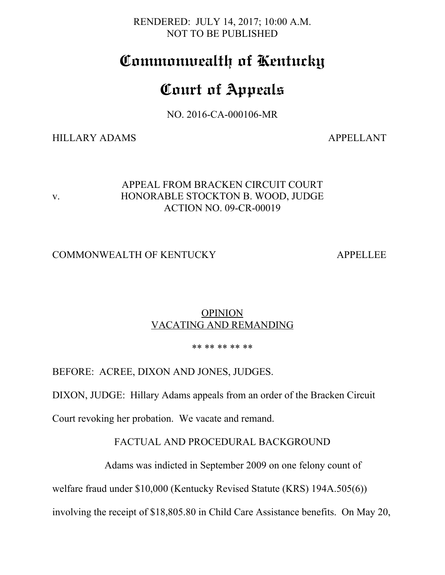RENDERED: JULY 14, 2017; 10:00 A.M. NOT TO BE PUBLISHED

# **Commonwealth of Kentucky**

# **Court of Appeals**

NO. 2016-CA-000106-MR

HILLARY ADAMS APPELLANT

# APPEAL FROM BRACKEN CIRCUIT COURT v. HONORABLE STOCKTON B. WOOD, JUDGE ACTION NO. 09-CR-00019

# COMMONWEALTH OF KENTUCKY APPELLEE

# **OPINION** VACATING AND REMANDING

#### \*\* \*\* \*\* \*\* \*\*

BEFORE: ACREE, DIXON AND JONES, JUDGES.

DIXON, JUDGE: Hillary Adams appeals from an order of the Bracken Circuit

Court revoking her probation. We vacate and remand.

# FACTUAL AND PROCEDURAL BACKGROUND

Adams was indicted in September 2009 on one felony count of

welfare fraud under \$10,000 (Kentucky Revised Statute (KRS) 194A.505(6))

involving the receipt of \$18,805.80 in Child Care Assistance benefits. On May 20,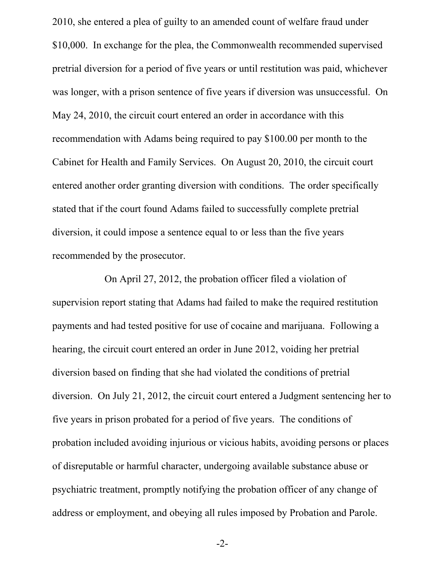2010, she entered a plea of guilty to an amended count of welfare fraud under \$10,000. In exchange for the plea, the Commonwealth recommended supervised pretrial diversion for a period of five years or until restitution was paid, whichever was longer, with a prison sentence of five years if diversion was unsuccessful. On May 24, 2010, the circuit court entered an order in accordance with this recommendation with Adams being required to pay \$100.00 per month to the Cabinet for Health and Family Services. On August 20, 2010, the circuit court entered another order granting diversion with conditions. The order specifically stated that if the court found Adams failed to successfully complete pretrial diversion, it could impose a sentence equal to or less than the five years recommended by the prosecutor.

On April 27, 2012, the probation officer filed a violation of supervision report stating that Adams had failed to make the required restitution payments and had tested positive for use of cocaine and marijuana. Following a hearing, the circuit court entered an order in June 2012, voiding her pretrial diversion based on finding that she had violated the conditions of pretrial diversion. On July 21, 2012, the circuit court entered a Judgment sentencing her to five years in prison probated for a period of five years. The conditions of probation included avoiding injurious or vicious habits, avoiding persons or places of disreputable or harmful character, undergoing available substance abuse or psychiatric treatment, promptly notifying the probation officer of any change of address or employment, and obeying all rules imposed by Probation and Parole.

-2-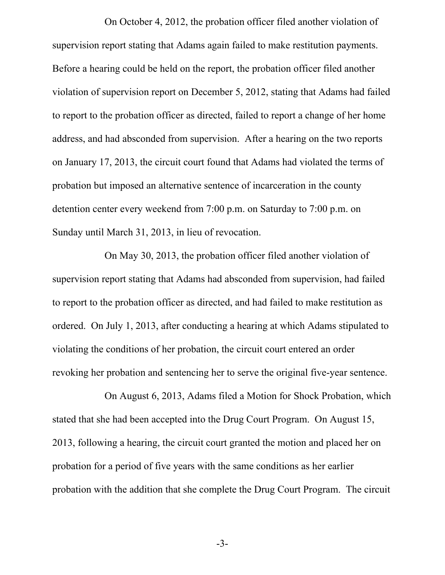On October 4, 2012, the probation officer filed another violation of supervision report stating that Adams again failed to make restitution payments. Before a hearing could be held on the report, the probation officer filed another violation of supervision report on December 5, 2012, stating that Adams had failed to report to the probation officer as directed, failed to report a change of her home address, and had absconded from supervision. After a hearing on the two reports on January 17, 2013, the circuit court found that Adams had violated the terms of probation but imposed an alternative sentence of incarceration in the county detention center every weekend from 7:00 p.m. on Saturday to 7:00 p.m. on Sunday until March 31, 2013, in lieu of revocation.

On May 30, 2013, the probation officer filed another violation of supervision report stating that Adams had absconded from supervision, had failed to report to the probation officer as directed, and had failed to make restitution as ordered. On July 1, 2013, after conducting a hearing at which Adams stipulated to violating the conditions of her probation, the circuit court entered an order revoking her probation and sentencing her to serve the original five-year sentence.

On August 6, 2013, Adams filed a Motion for Shock Probation, which stated that she had been accepted into the Drug Court Program. On August 15, 2013, following a hearing, the circuit court granted the motion and placed her on probation for a period of five years with the same conditions as her earlier probation with the addition that she complete the Drug Court Program. The circuit

-3-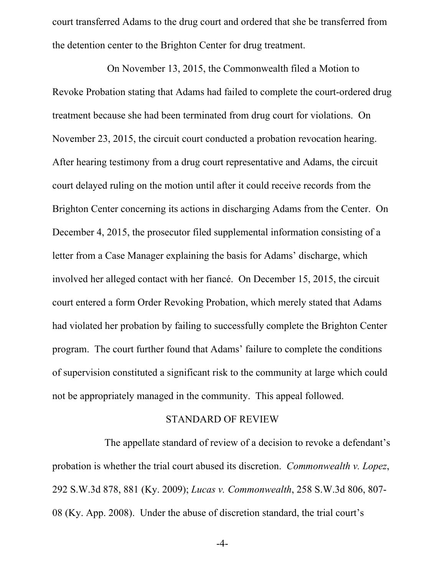court transferred Adams to the drug court and ordered that she be transferred from the detention center to the Brighton Center for drug treatment.

 On November 13, 2015, the Commonwealth filed a Motion to Revoke Probation stating that Adams had failed to complete the court-ordered drug treatment because she had been terminated from drug court for violations. On November 23, 2015, the circuit court conducted a probation revocation hearing. After hearing testimony from a drug court representative and Adams, the circuit court delayed ruling on the motion until after it could receive records from the Brighton Center concerning its actions in discharging Adams from the Center. On December 4, 2015, the prosecutor filed supplemental information consisting of a letter from a Case Manager explaining the basis for Adams' discharge, which involved her alleged contact with her fiancé. On December 15, 2015, the circuit court entered a form Order Revoking Probation, which merely stated that Adams had violated her probation by failing to successfully complete the Brighton Center program. The court further found that Adams' failure to complete the conditions of supervision constituted a significant risk to the community at large which could not be appropriately managed in the community. This appeal followed.

#### STANDARD OF REVIEW

The appellate standard of review of a decision to revoke a defendant's probation is whether the trial court abused its discretion. *Commonwealth v. Lopez*, 292 S.W.3d 878, 881 (Ky. 2009); *Lucas v. Commonwealth*, 258 S.W.3d 806, 807- 08 (Ky. App. 2008). Under the abuse of discretion standard, the trial court's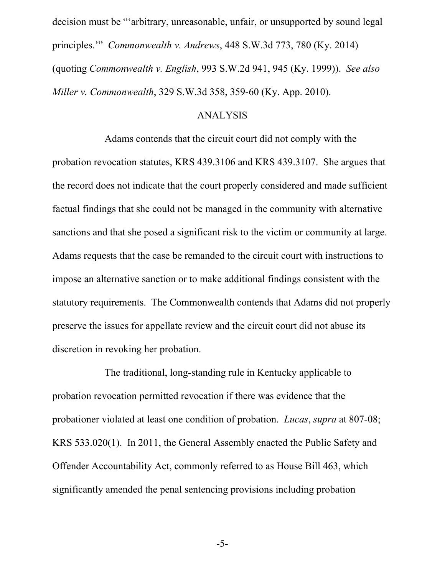decision must be "'arbitrary, unreasonable, unfair, or unsupported by sound legal principles.'" *Commonwealth v. Andrews*, 448 S.W.3d 773, 780 (Ky. 2014) (quoting *Commonwealth v. English*, 993 S.W.2d 941, 945 (Ky. 1999)). *See also Miller v. Commonwealth*, 329 S.W.3d 358, 359-60 (Ky. App. 2010).

### ANALYSIS

Adams contends that the circuit court did not comply with the probation revocation statutes, KRS 439.3106 and KRS 439.3107. She argues that the record does not indicate that the court properly considered and made sufficient factual findings that she could not be managed in the community with alternative sanctions and that she posed a significant risk to the victim or community at large. Adams requests that the case be remanded to the circuit court with instructions to impose an alternative sanction or to make additional findings consistent with the statutory requirements. The Commonwealth contends that Adams did not properly preserve the issues for appellate review and the circuit court did not abuse its discretion in revoking her probation.

The traditional, long-standing rule in Kentucky applicable to probation revocation permitted revocation if there was evidence that the probationer violated at least one condition of probation. *Lucas*, *supra* at 807-08; KRS 533.020(1). In 2011, the General Assembly enacted the Public Safety and Offender Accountability Act, commonly referred to as House Bill 463, which significantly amended the penal sentencing provisions including probation

-5-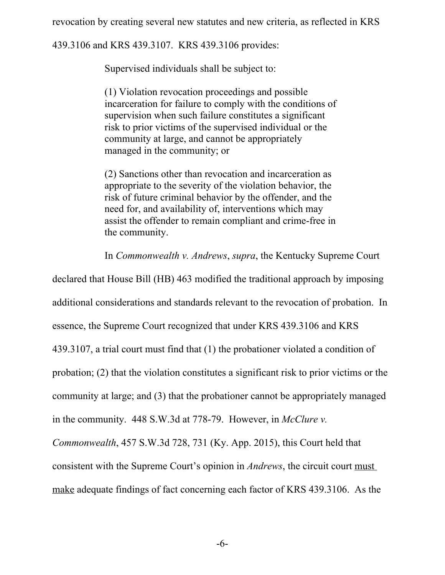revocation by creating several new statutes and new criteria, as reflected in KRS

439.3106 and KRS 439.3107. KRS 439.3106 provides:

Supervised individuals shall be subject to:

(1) Violation revocation proceedings and possible incarceration for failure to comply with the conditions of supervision when such failure constitutes a significant risk to prior victims of the supervised individual or the community at large, and cannot be appropriately managed in the community; or

(2) Sanctions other than revocation and incarceration as appropriate to the severity of the violation behavior, the risk of future criminal behavior by the offender, and the need for, and availability of, interventions which may assist the offender to remain compliant and crime-free in the community.

In *Commonwealth v. Andrews*, *supra*, the Kentucky Supreme Court

declared that House Bill (HB) 463 modified the traditional approach by imposing additional considerations and standards relevant to the revocation of probation. In essence, the Supreme Court recognized that under KRS 439.3106 and KRS 439.3107, a trial court must find that (1) the probationer violated a condition of probation; (2) that the violation constitutes a significant risk to prior victims or the community at large; and (3) that the probationer cannot be appropriately managed in the community. 448 S.W.3d at 778-79. However, in *McClure v.*

*Commonwealth*, 457 S.W.3d 728, 731 (Ky. App. 2015), this Court held that consistent with the Supreme Court's opinion in *Andrews*, the circuit court must make adequate findings of fact concerning each factor of KRS 439.3106. As the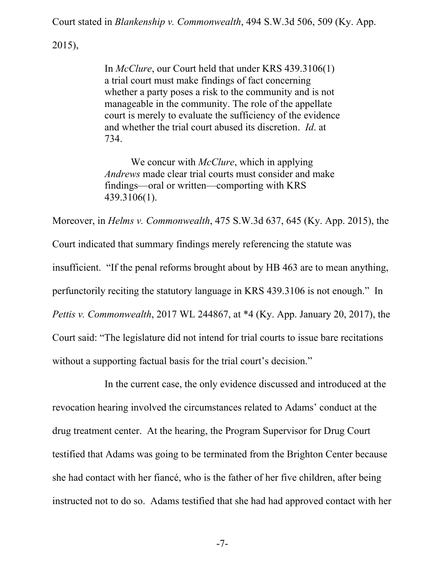Court stated in *Blankenship v. Commonwealth*, 494 S.W.3d 506, 509 (Ky. App.

2015),

In *McClure*, our Court held that under KRS 439.3106(1) a trial court must make findings of fact concerning whether a party poses a risk to the community and is not manageable in the community. The role of the appellate court is merely to evaluate the sufficiency of the evidence and whether the trial court abused its discretion. *Id*. at 734.

We concur with *McClure*, which in applying *Andrews* made clear trial courts must consider and make findings—oral or written—comporting with KRS 439.3106(1).

Moreover, in *Helms v. Commonwealth*, 475 S.W.3d 637, 645 (Ky. App. 2015), the

Court indicated that summary findings merely referencing the statute was

insufficient. "If the penal reforms brought about by HB 463 are to mean anything,

perfunctorily reciting the statutory language in KRS 439.3106 is not enough." In

*Pettis v. Commonwealth*, 2017 WL 244867, at \*4 (Ky. App. January 20, 2017), the

Court said: "The legislature did not intend for trial courts to issue bare recitations

without a supporting factual basis for the trial court's decision."

In the current case, the only evidence discussed and introduced at the revocation hearing involved the circumstances related to Adams' conduct at the drug treatment center. At the hearing, the Program Supervisor for Drug Court testified that Adams was going to be terminated from the Brighton Center because she had contact with her fiancé, who is the father of her five children, after being instructed not to do so. Adams testified that she had had approved contact with her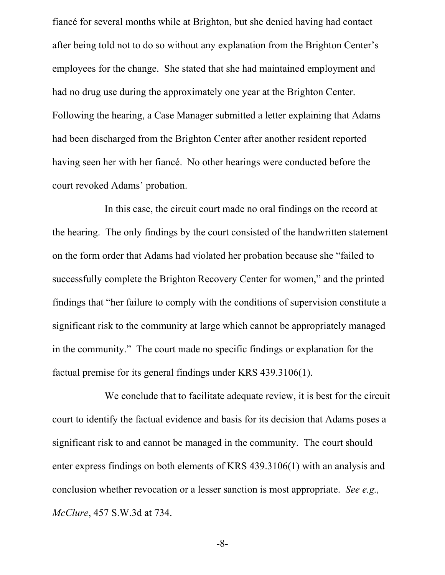fiancé for several months while at Brighton, but she denied having had contact after being told not to do so without any explanation from the Brighton Center's employees for the change. She stated that she had maintained employment and had no drug use during the approximately one year at the Brighton Center. Following the hearing, a Case Manager submitted a letter explaining that Adams had been discharged from the Brighton Center after another resident reported having seen her with her fiancé. No other hearings were conducted before the court revoked Adams' probation.

In this case, the circuit court made no oral findings on the record at the hearing. The only findings by the court consisted of the handwritten statement on the form order that Adams had violated her probation because she "failed to successfully complete the Brighton Recovery Center for women," and the printed findings that "her failure to comply with the conditions of supervision constitute a significant risk to the community at large which cannot be appropriately managed in the community." The court made no specific findings or explanation for the factual premise for its general findings under KRS 439.3106(1).

We conclude that to facilitate adequate review, it is best for the circuit court to identify the factual evidence and basis for its decision that Adams poses a significant risk to and cannot be managed in the community. The court should enter express findings on both elements of KRS 439.3106(1) with an analysis and conclusion whether revocation or a lesser sanction is most appropriate. *See e.g., McClure*, 457 S.W.3d at 734.

-8-